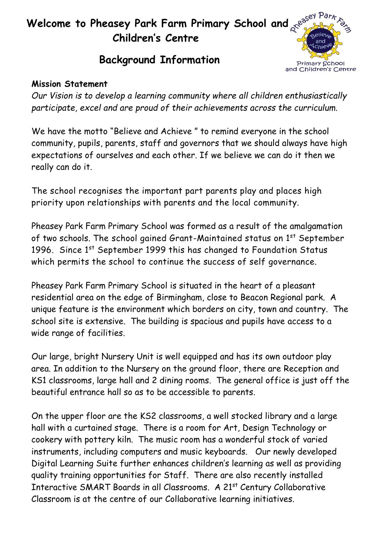# **Welcome to Pheasey Park Farm Primary School and Children's Centre**



## **Background Information**

#### **Mission Statement**

*Our Vision is to develop a learning community where all children enthusiastically participate, excel and are proud of their achievements across the curriculum.*

We have the motto "Believe and Achieve " to remind everyone in the school community, pupils, parents, staff and governors that we should always have high expectations of ourselves and each other. If we believe we can do it then we really can do it.

The school recognises the important part parents play and places high priority upon relationships with parents and the local community.

Pheasey Park Farm Primary School was formed as a result of the amalgamation of two schools. The school gained Grant-Maintained status on 1<sup>st</sup> September 1996. Since 1st September 1999 this has changed to Foundation Status which permits the school to continue the success of self governance.

Pheasey Park Farm Primary School is situated in the heart of a pleasant residential area on the edge of Birmingham, close to Beacon Regional park. A unique feature is the environment which borders on city, town and country. The school site is extensive. The building is spacious and pupils have access to a wide range of facilities.

Our large, bright Nursery Unit is well equipped and has its own outdoor play area. In addition to the Nursery on the ground floor, there are Reception and KS1 classrooms, large hall and 2 dining rooms. The general office is just off the beautiful entrance hall so as to be accessible to parents.

On the upper floor are the KS2 classrooms, a well stocked library and a large hall with a curtained stage. There is a room for Art, Design Technology or cookery with pottery kiln. The music room has a wonderful stock of varied instruments, including computers and music keyboards. Our newly developed Digital Learning Suite further enhances children's learning as well as providing quality training opportunities for Staff. There are also recently installed Interactive SMART Boards in all Classrooms. A 21<sup>st</sup> Century Collaborative Classroom is at the centre of our Collaborative learning initiatives.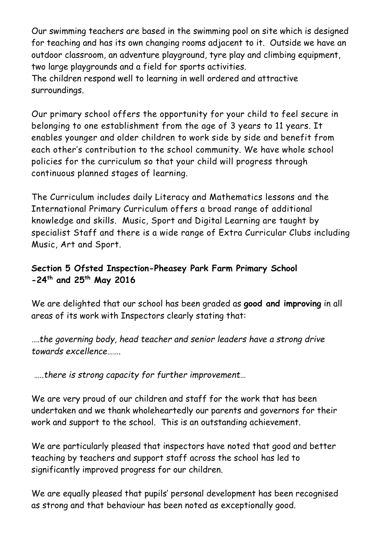Our swimming teachers are based in the swimming pool on site which is designed for teaching and has its own changing rooms adjacent to it. Outside we have an outdoor classroom, an adventure playground, tyre play and climbing equipment, two large playgrounds and a field for sports activities.

The children respond well to learning in well ordered and attractive surroundings.

Our primary school offers the opportunity for your child to feel secure in belonging to one establishment from the age of 3 years to 11 years. It enables younger and older children to work side by side and benefit from each other's contribution to the school community. We have whole school policies for the curriculum so that your child will progress through continuous planned stages of learning.

The Curriculum includes daily Literacy and Mathematics lessons and the International Primary Curriculum offers a broad range of additional knowledge and skills. Music, Sport and Digital Learning are taught by specialist Staff and there is a wide range of Extra Curricular Clubs including Music, Art and Sport.

### **Section 5 Ofsted Inspection-Pheasey Park Farm Primary School -24th and 25th May 2016**

We are delighted that our school has been graded as **good and improving** in all areas of its work with Inspectors clearly stating that:

*….the governing body, head teacher and senior leaders have a strong drive towards excellence…….*

*…..there is strong capacity for further improvement…*

We are very proud of our children and staff for the work that has been undertaken and we thank wholeheartedly our parents and governors for their work and support to the school. This is an outstanding achievement.

We are particularly pleased that inspectors have noted that good and better teaching by teachers and support staff across the school has led to significantly improved progress for our children.

We are equally pleased that pupils' personal development has been recognised as strong and that behaviour has been noted as exceptionally good.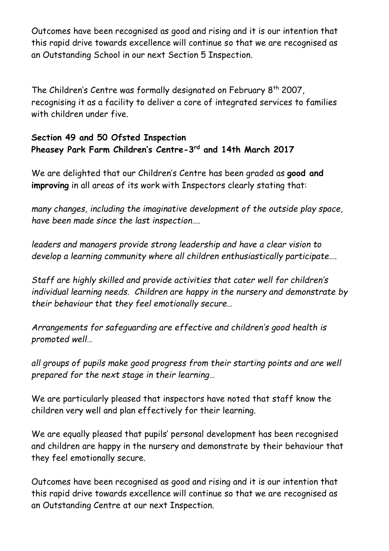Outcomes have been recognised as good and rising and it is our intention that this rapid drive towards excellence will continue so that we are recognised as an Outstanding School in our next Section 5 Inspection.

The Children's Centre was formally designated on February 8<sup>th</sup> 2007, recognising it as a facility to deliver a core of integrated services to families with children under five.

#### **Section 49 and 50 Ofsted Inspection Pheasey Park Farm Children's Centre-3 rd and 14th March 2017**

We are delighted that our Children's Centre has been graded as **good and improving** in all areas of its work with Inspectors clearly stating that:

*many changes, including the imaginative development of the outside play space, have been made since the last inspection….*

*leaders and managers provide strong leadership and have a clear vision to develop a learning community where all children enthusiastically participate….*

*Staff are highly skilled and provide activities that cater well for children's individual learning needs. Children are happy in the nursery and demonstrate by their behaviour that they feel emotionally secure…*

*Arrangements for safeguarding are effective and children's good health is promoted well…*

*all groups of pupils make good progress from their starting points and are well prepared for the next stage in their learning…*

We are particularly pleased that inspectors have noted that staff know the children very well and plan effectively for their learning.

We are equally pleased that pupils' personal development has been recognised and children are happy in the nursery and demonstrate by their behaviour that they feel emotionally secure.

Outcomes have been recognised as good and rising and it is our intention that this rapid drive towards excellence will continue so that we are recognised as an Outstanding Centre at our next Inspection.